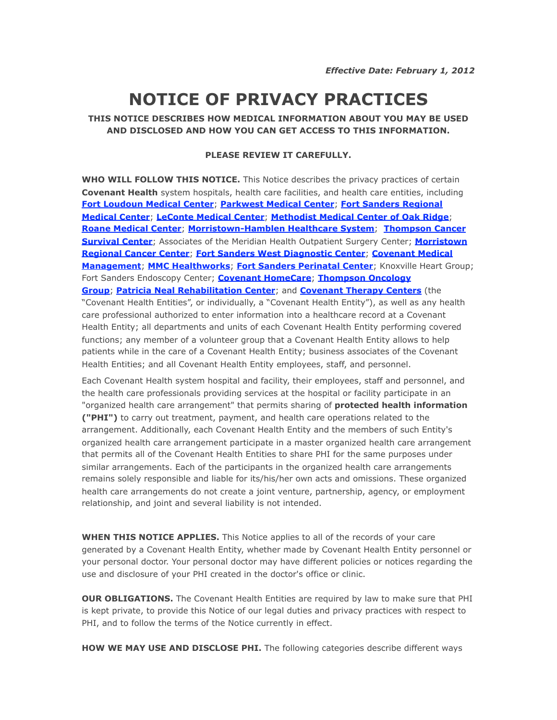## **NOTICE OF PRIVACY PRACTICES**

## **THIS NOTICE DESCRIBES HOW MEDICAL INFORMATION ABOUT YOU MAY BE USED AND DISCLOSED AND HOW YOU CAN GET ACCESS TO THIS INFORMATION.**

## **PLEASE REVIEW IT CAREFULLY.**

**WHO WILL FOLLOW THIS NOTICE.** This Notice describes the privacy practices of certain **Covenant Health** system hospitals, health care facilities, and health care entities, including **[Fort Loudoun Medical Center](http://www.ftloudoun.com/)**; **[Parkwest Medical Center](http://www.treatedwell.com/)**; **[Fort Sanders Regional](http://www.fsregional.com/)  [Medical Center](http://www.fsregional.com/)**; **[LeConte Medical Center](http://www.lecontemedicalcenter.com/)**; **[Methodist Medical Center of Oak Ridge](http://www.mmcoakridge.com/)**; **[Roane Medical Center](http://www.roanemedical.com)**; **[Morristown-Hamblen Healthcare System](http://www.secretcityfamilypractice.com/?id=2841&sid=37)**; **[Thompson Cancer](http://www.thompsoncancer.com/)  [Survival Center](http://www.thompsoncancer.com/)**; Associates of the Meridian Health Outpatient Surgery Center; **[Morristown](http://mhhs1.org/mrcc)  [Regional Cancer Center](http://mhhs1.org/mrcc)**; **[Fort Sanders West Diagnostic Center](http://www.fortsanderswest.com/?id=78&sid=3)**; **[Covenant Medical](http://www.secretcityfamilypractice.com/cmm)  [Management](http://www.secretcityfamilypractice.com/cmm)**; **[MMC Healthworks](http://www.mmchealthworks.com/)**; **[Fort Sanders Perinatal Center](http://www.fortsandersperinatal.com)**; Knoxville Heart Group; Fort Sanders Endoscopy Center; **[Covenant HomeCare](http://www.covenanthomecareandhospice.com/)**; **[Thompson Oncology](http://www.thompsoncancer.com/)  [Group](http://www.thompsoncancer.com/)**; **[Patricia Neal Rehabilitation Center](http://www.patneal.org)**; and **[Covenant Therapy Centers](http://www.covenanttherapy.com)** (the "Covenant Health Entities", or individually, a "Covenant Health Entity"), as well as any health care professional authorized to enter information into a healthcare record at a Covenant Health Entity; all departments and units of each Covenant Health Entity performing covered functions; any member of a volunteer group that a Covenant Health Entity allows to help patients while in the care of a Covenant Health Entity; business associates of the Covenant Health Entities; and all Covenant Health Entity employees, staff, and personnel.

Each Covenant Health system hospital and facility, their employees, staff and personnel, and the health care professionals providing services at the hospital or facility participate in an "organized health care arrangement" that permits sharing of **protected health information ("PHI")** to carry out treatment, payment, and health care operations related to the arrangement. Additionally, each Covenant Health Entity and the members of such Entity's organized health care arrangement participate in a master organized health care arrangement that permits all of the Covenant Health Entities to share PHI for the same purposes under similar arrangements. Each of the participants in the organized health care arrangements remains solely responsible and liable for its/his/her own acts and omissions. These organized health care arrangements do not create a joint venture, partnership, agency, or employment relationship, and joint and several liability is not intended.

**WHEN THIS NOTICE APPLIES.** This Notice applies to all of the records of your care generated by a Covenant Health Entity, whether made by Covenant Health Entity personnel or your personal doctor. Your personal doctor may have different policies or notices regarding the use and disclosure of your PHI created in the doctor's office or clinic.

**OUR OBLIGATIONS.** The Covenant Health Entities are required by law to make sure that PHI is kept private, to provide this Notice of our legal duties and privacy practices with respect to PHI, and to follow the terms of the Notice currently in effect.

**HOW WE MAY USE AND DISCLOSE PHI.** The following categories describe different ways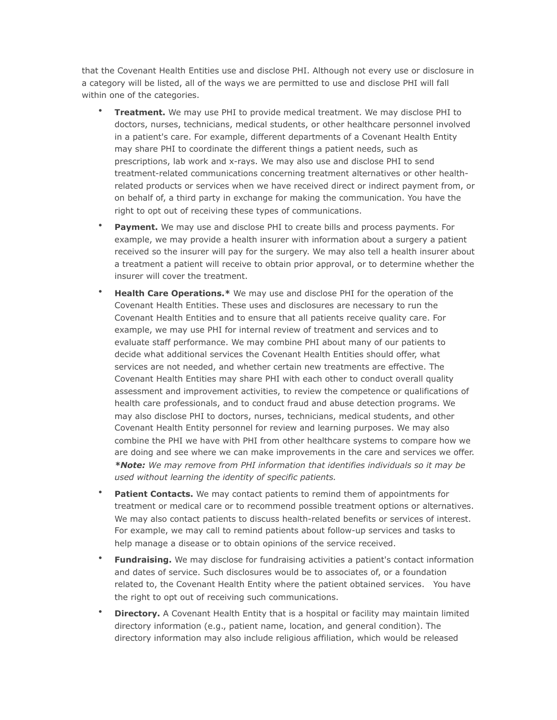that the Covenant Health Entities use and disclose PHI. Although not every use or disclosure in a category will be listed, all of the ways we are permitted to use and disclose PHI will fall within one of the categories.

- **Treatment.** We may use PHI to provide medical treatment. We may disclose PHI to doctors, nurses, technicians, medical students, or other healthcare personnel involved in a patient's care. For example, different departments of a Covenant Health Entity may share PHI to coordinate the different things a patient needs, such as prescriptions, lab work and x-rays. We may also use and disclose PHI to send treatment-related communications concerning treatment alternatives or other healthrelated products or services when we have received direct or indirect payment from, or on behalf of, a third party in exchange for making the communication. You have the right to opt out of receiving these types of communications.
- **Payment.** We may use and disclose PHI to create bills and process payments. For example, we may provide a health insurer with information about a surgery a patient received so the insurer will pay for the surgery. We may also tell a health insurer about a treatment a patient will receive to obtain prior approval, or to determine whether the insurer will cover the treatment.
- **Health Care Operations.**\* We may use and disclose PHI for the operation of the Covenant Health Entities. These uses and disclosures are necessary to run the Covenant Health Entities and to ensure that all patients receive quality care. For example, we may use PHI for internal review of treatment and services and to evaluate staff performance. We may combine PHI about many of our patients to decide what additional services the Covenant Health Entities should offer, what services are not needed, and whether certain new treatments are effective. The Covenant Health Entities may share PHI with each other to conduct overall quality assessment and improvement activities, to review the competence or qualifications of health care professionals, and to conduct fraud and abuse detection programs. We may also disclose PHI to doctors, nurses, technicians, medical students, and other Covenant Health Entity personnel for review and learning purposes. We may also combine the PHI we have with PHI from other healthcare systems to compare how we are doing and see where we can make improvements in the care and services we offer. *\*Note: We may remove from PHI information that identifies individuals so it may be used without learning the identity of specific patients.*
- **Patient Contacts.** We may contact patients to remind them of appointments for treatment or medical care or to recommend possible treatment options or alternatives. We may also contact patients to discuss health-related benefits or services of interest. For example, we may call to remind patients about follow-up services and tasks to help manage a disease or to obtain opinions of the service received.
- **Fundraising.** We may disclose for fundraising activities a patient's contact information and dates of service. Such disclosures would be to associates of, or a foundation related to, the Covenant Health Entity where the patient obtained services. You have the right to opt out of receiving such communications.
- **Directory.** A Covenant Health Entity that is a hospital or facility may maintain limited directory information (e.g., patient name, location, and general condition). The directory information may also include religious affiliation, which would be released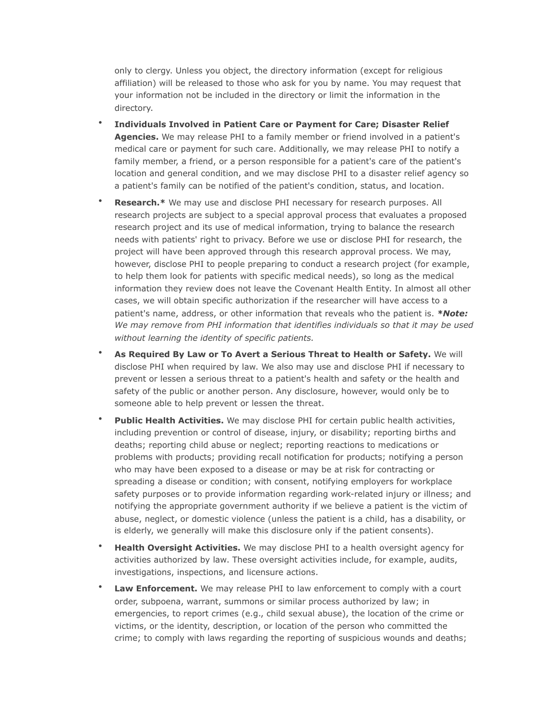only to clergy. Unless you object, the directory information (except for religious affiliation) will be released to those who ask for you by name. You may request that your information not be included in the directory or limit the information in the directory.

- **Individuals Involved in Patient Care or Payment for Care; Disaster Relief Agencies.** We may release PHI to a family member or friend involved in a patient's medical care or payment for such care. Additionally, we may release PHI to notify a family member, a friend, or a person responsible for a patient's care of the patient's location and general condition, and we may disclose PHI to a disaster relief agency so a patient's family can be notified of the patient's condition, status, and location.
- **Research.\*** We may use and disclose PHI necessary for research purposes. All research projects are subject to a special approval process that evaluates a proposed research project and its use of medical information, trying to balance the research needs with patients' right to privacy. Before we use or disclose PHI for research, the project will have been approved through this research approval process. We may, however, disclose PHI to people preparing to conduct a research project (for example, to help them look for patients with specific medical needs), so long as the medical information they review does not leave the Covenant Health Entity. In almost all other cases, we will obtain specific authorization if the researcher will have access to a patient's name, address, or other information that reveals who the patient is. *\*Note: We may remove from PHI information that identifies individuals so that it may be used without learning the identity of specific patients.*
- **As Required By Law or To Avert a Serious Threat to Health or Safety.** We will disclose PHI when required by law. We also may use and disclose PHI if necessary to prevent or lessen a serious threat to a patient's health and safety or the health and safety of the public or another person. Any disclosure, however, would only be to someone able to help prevent or lessen the threat.
- **Public Health Activities.** We may disclose PHI for certain public health activities, including prevention or control of disease, injury, or disability; reporting births and deaths; reporting child abuse or neglect; reporting reactions to medications or problems with products; providing recall notification for products; notifying a person who may have been exposed to a disease or may be at risk for contracting or spreading a disease or condition; with consent, notifying employers for workplace safety purposes or to provide information regarding work-related injury or illness; and notifying the appropriate government authority if we believe a patient is the victim of abuse, neglect, or domestic violence (unless the patient is a child, has a disability, or is elderly, we generally will make this disclosure only if the patient consents).
- **Health Oversight Activities.** We may disclose PHI to a health oversight agency for activities authorized by law. These oversight activities include, for example, audits, investigations, inspections, and licensure actions.
- **Law Enforcement.** We may release PHI to law enforcement to comply with a court order, subpoena, warrant, summons or similar process authorized by law; in emergencies, to report crimes (e.g., child sexual abuse), the location of the crime or victims, or the identity, description, or location of the person who committed the crime; to comply with laws regarding the reporting of suspicious wounds and deaths;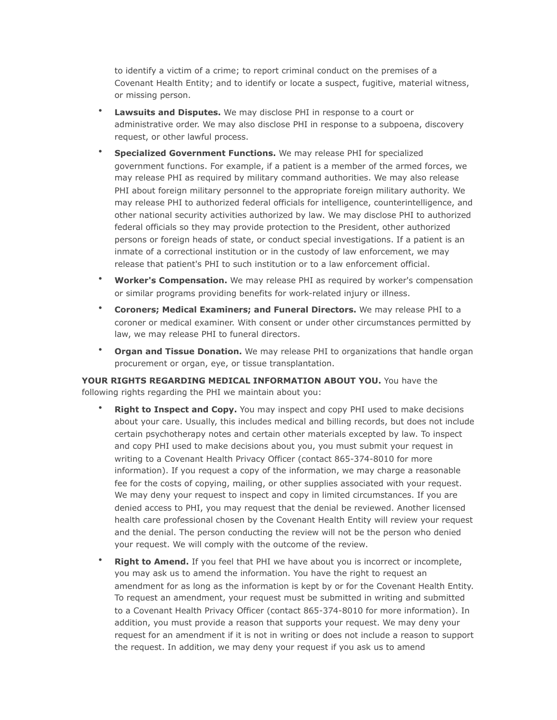to identify a victim of a crime; to report criminal conduct on the premises of a Covenant Health Entity; and to identify or locate a suspect, fugitive, material witness, or missing person.

- **Lawsuits and Disputes.** We may disclose PHI in response to a court or administrative order. We may also disclose PHI in response to a subpoena, discovery request, or other lawful process.
- **Specialized Government Functions.** We may release PHI for specialized government functions. For example, if a patient is a member of the armed forces, we may release PHI as required by military command authorities. We may also release PHI about foreign military personnel to the appropriate foreign military authority. We may release PHI to authorized federal officials for intelligence, counterintelligence, and other national security activities authorized by law. We may disclose PHI to authorized federal officials so they may provide protection to the President, other authorized persons or foreign heads of state, or conduct special investigations. If a patient is an inmate of a correctional institution or in the custody of law enforcement, we may release that patient's PHI to such institution or to a law enforcement official.
- **Worker's Compensation.** We may release PHI as required by worker's compensation or similar programs providing benefits for work-related injury or illness.
- **Coroners; Medical Examiners; and Funeral Directors.** We may release PHI to a coroner or medical examiner. With consent or under other circumstances permitted by law, we may release PHI to funeral directors.
- **Organ and Tissue Donation.** We may release PHI to organizations that handle organ procurement or organ, eye, or tissue transplantation.

**YOUR RIGHTS REGARDING MEDICAL INFORMATION ABOUT YOU.** You have the following rights regarding the PHI we maintain about you:

- **Right to Inspect and Copy.** You may inspect and copy PHI used to make decisions about your care. Usually, this includes medical and billing records, but does not include certain psychotherapy notes and certain other materials excepted by law. To inspect and copy PHI used to make decisions about you, you must submit your request in writing to a Covenant Health Privacy Officer (contact 865-374-8010 for more information). If you request a copy of the information, we may charge a reasonable fee for the costs of copying, mailing, or other supplies associated with your request. We may deny your request to inspect and copy in limited circumstances. If you are denied access to PHI, you may request that the denial be reviewed. Another licensed health care professional chosen by the Covenant Health Entity will review your request and the denial. The person conducting the review will not be the person who denied your request. We will comply with the outcome of the review.
- **Right to Amend.** If you feel that PHI we have about you is incorrect or incomplete, you may ask us to amend the information. You have the right to request an amendment for as long as the information is kept by or for the Covenant Health Entity. To request an amendment, your request must be submitted in writing and submitted to a Covenant Health Privacy Officer (contact 865-374-8010 for more information). In addition, you must provide a reason that supports your request. We may deny your request for an amendment if it is not in writing or does not include a reason to support the request. In addition, we may deny your request if you ask us to amend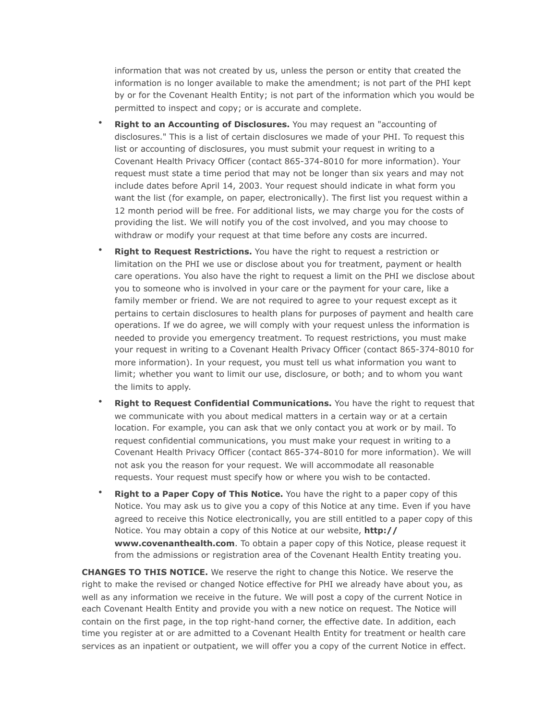information that was not created by us, unless the person or entity that created the information is no longer available to make the amendment; is not part of the PHI kept by or for the Covenant Health Entity; is not part of the information which you would be permitted to inspect and copy; or is accurate and complete.

- **Right to an Accounting of Disclosures.** You may request an "accounting of disclosures." This is a list of certain disclosures we made of your PHI. To request this list or accounting of disclosures, you must submit your request in writing to a Covenant Health Privacy Officer (contact 865-374-8010 for more information). Your request must state a time period that may not be longer than six years and may not include dates before April 14, 2003. Your request should indicate in what form you want the list (for example, on paper, electronically). The first list you request within a 12 month period will be free. For additional lists, we may charge you for the costs of providing the list. We will notify you of the cost involved, and you may choose to withdraw or modify your request at that time before any costs are incurred.
- **Right to Request Restrictions.** You have the right to request a restriction or limitation on the PHI we use or disclose about you for treatment, payment or health care operations. You also have the right to request a limit on the PHI we disclose about you to someone who is involved in your care or the payment for your care, like a family member or friend. We are not required to agree to your request except as it pertains to certain disclosures to health plans for purposes of payment and health care operations. If we do agree, we will comply with your request unless the information is needed to provide you emergency treatment. To request restrictions, you must make your request in writing to a Covenant Health Privacy Officer (contact 865-374-8010 for more information). In your request, you must tell us what information you want to limit; whether you want to limit our use, disclosure, or both; and to whom you want the limits to apply.
- **Right to Request Confidential Communications.** You have the right to request that we communicate with you about medical matters in a certain way or at a certain location. For example, you can ask that we only contact you at work or by mail. To request confidential communications, you must make your request in writing to a Covenant Health Privacy Officer (contact 865-374-8010 for more information). We will not ask you the reason for your request. We will accommodate all reasonable requests. Your request must specify how or where you wish to be contacted.
- **Right to a Paper Copy of This Notice.** You have the right to a paper copy of this Notice. You may ask us to give you a copy of this Notice at any time. Even if you have agreed to receive this Notice electronically, you are still entitled to a paper copy of this Notice. You may obtain a copy of this Notice at our website, **http:// www.covenanthealth.com**. To obtain a paper copy of this Notice, please request it from the admissions or registration area of the Covenant Health Entity treating you.

**CHANGES TO THIS NOTICE.** We reserve the right to change this Notice. We reserve the right to make the revised or changed Notice effective for PHI we already have about you, as well as any information we receive in the future. We will post a copy of the current Notice in each Covenant Health Entity and provide you with a new notice on request. The Notice will contain on the first page, in the top right-hand corner, the effective date. In addition, each time you register at or are admitted to a Covenant Health Entity for treatment or health care services as an inpatient or outpatient, we will offer you a copy of the current Notice in effect.